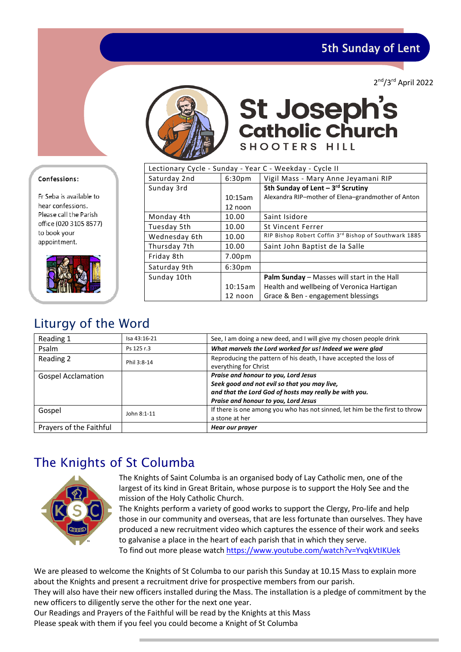5th Sunday of Lent

2<sup>nd</sup>/3<sup>rd</sup> April 2022



St Joseph's<br>Catholic Church SHOOTERS HILL

| Lectionary Cycle - Sunday - Year C - Weekday - Cycle II |                    |                                                       |  |  |
|---------------------------------------------------------|--------------------|-------------------------------------------------------|--|--|
| Saturday 2nd                                            | 6:30 <sub>pm</sub> | Vigil Mass - Mary Anne Jeyamani RIP                   |  |  |
| Sunday 3rd                                              |                    | 5th Sunday of Lent $-3^{rd}$ Scrutiny                 |  |  |
|                                                         | 10:15am            | Alexandra RIP-mother of Elena-grandmother of Anton    |  |  |
|                                                         | 12 noon            |                                                       |  |  |
| Monday 4th                                              | 10.00              | Saint Isidore                                         |  |  |
| Tuesday 5th                                             | 10.00              | <b>St Vincent Ferrer</b>                              |  |  |
| Wednesday 6th                                           | 10.00              | RIP Bishop Robert Coffin 3rd Bishop of Southwark 1885 |  |  |
| Thursday 7th                                            | 10.00              | Saint John Baptist de la Salle                        |  |  |
| Friday 8th                                              | $7.00p$ m          |                                                       |  |  |
| Saturday 9th                                            | 6:30 <sub>pm</sub> |                                                       |  |  |
| Sunday 10th                                             |                    | <b>Palm Sunday</b> – Masses will start in the Hall    |  |  |
|                                                         | 10:15am            | Health and wellbeing of Veronica Hartigan             |  |  |
|                                                         | 12 noon            | Grace & Ben - engagement blessings                    |  |  |

# Liturgy of the Word

| Reading 1                 | Isa 43:16-21 | See, I am doing a new deed, and I will give my chosen people drink          |
|---------------------------|--------------|-----------------------------------------------------------------------------|
| Psalm                     | Ps 125 r.3   | What marvels the Lord worked for us! Indeed we were glad                    |
| Reading 2                 | Phil 3:8-14  | Reproducing the pattern of his death, I have accepted the loss of           |
|                           |              | everything for Christ                                                       |
| <b>Gospel Acclamation</b> |              | Praise and honour to you, Lord Jesus                                        |
|                           |              | Seek good and not evil so that you may live,                                |
|                           |              | and that the Lord God of hosts may really be with you.                      |
|                           |              | Praise and honour to you, Lord Jesus                                        |
| Gospel                    | John 8:1-11  | If there is one among you who has not sinned, let him be the first to throw |
|                           |              | a stone at her                                                              |
| Prayers of the Faithful   |              | Hear our prayer                                                             |

# The Knights of St Columba



The Knights of Saint Columba is an organised body of Lay Catholic men, one of the largest of its kind in Great Britain, whose purpose is to support the Holy See and the mission of the Holy Catholic Church.

The Knights perform a variety of good works to support the Clergy, Pro-life and help those in our community and overseas, that are less fortunate than ourselves. They have produced a new recruitment video which captures the essence of their work and seeks to galvanise a place in the heart of each parish that in which they serve. To find out more please watc[h https://www.youtube.com/watch?v=YvqkVtIKUek](https://www.youtube.com/watch?v=YvqkVtIKUek) 

We are pleased to welcome the Knights of St Columba to our parish this Sunday at 10.15 Mass to explain more about the Knights and present a recruitment drive for prospective members from our parish. They will also have their new officers installed during the Mass. The installation is a pledge of commitment by the

new officers to diligently serve the other for the next one year.

Our Readings and Prayers of the Faithful will be read by the Knights at this Mass Please speak with them if you feel you could become a Knight of St Columba

### Confessions:

Fr Seba is available to hear confessions. Please call the Parish office (020 3105 8577) to book your appointment.

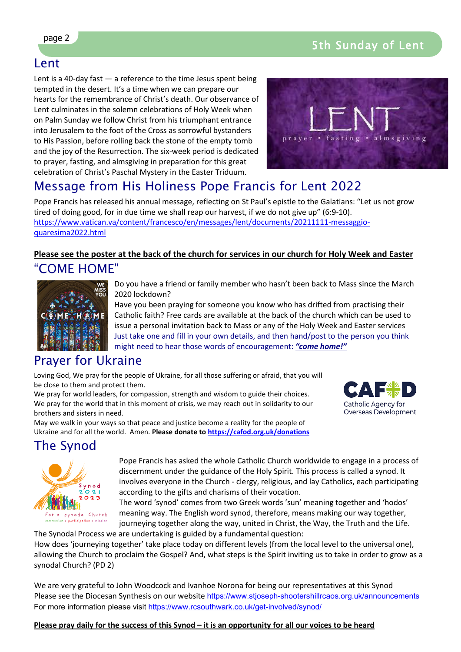## Lent

Lent is a 40-day fast  $-$  a reference to the time Jesus spent being tempted in the desert. It's a time when we can prepare our hearts for the remembrance of Christ's death. Our observance of Lent culminates in the solemn celebrations of Holy Week when on Palm Sunday we follow Christ from his triumphant entrance into Jerusalem to the foot of the Cross as sorrowful bystanders to His Passion, before rolling back the stone of the empty tomb and the joy of the Resurrection. The six-week period is dedicated to prayer, fasting, and almsgiving in preparation for this great celebration of Christ's Paschal Mystery in the Easter Triduum.



# Message from His Holiness Pope Francis for Lent 2022

Pope Francis has released his annual message, reflecting on St Paul's epistle to the Galatians: "Let us not grow tired of doing good, for in due time we shall reap our harvest, if we do not give up" (6:9-10). [https://www.vatican.va/content/francesco/en/messages/lent/documents/20211111-messaggio](https://www.vatican.va/content/francesco/en/messages/lent/documents/20211111-messaggio-quaresima2022.html)[quaresima2022.html](https://www.vatican.va/content/francesco/en/messages/lent/documents/20211111-messaggio-quaresima2022.html)

### **Please see the poster at the back of the church for services in our church for Holy Week and Easter** "COME HOME"



Do you have a friend or family member who hasn't been back to Mass since the March 2020 lockdown?

Have you been praying for someone you know who has drifted from practising their Catholic faith? Free cards are available at the back of the church which can be used to issue a personal invitation back to Mass or any of the Holy Week and Easter services Just take one and fill in your own details, and then hand/post to the person you think might need to hear those words of encouragement: *"come home!"*

# Prayer for Ukraine

Loving God, We pray for the people of Ukraine, for all those suffering or afraid, that you will be close to them and protect them.

We pray for world leaders, for compassion, strength and wisdom to guide their choices. We pray for the world that in this moment of crisis, we may reach out in solidarity to our brothers and sisters in need.

May we walk in your ways so that peace and justice become a reality for the people of Ukraine and for all the world. Amen. **Please donate t[o https://cafod.org.uk/donations](https://cafod.org.uk/donations/picker?defaultuniversaltype=single&_Appeal=123770)**



# The Synod



Pope Francis has asked the whole Catholic Church worldwide to engage in a process of discernment under the guidance of the Holy Spirit. This process is called a synod. It involves everyone in the Church - clergy, religious, and lay Catholics, each participating according to the gifts and charisms of their vocation.

The word 'synod' comes from two Greek words 'sun' meaning together and 'hodos' meaning way. The English word synod, therefore, means making our way together, journeying together along the way, united in Christ, the Way, the Truth and the Life.

The Synodal Process we are undertaking is guided by a fundamental question: How does 'journeying together' take place today on different levels (from the local level to the universal one), allowing the Church to proclaim the Gospel? And, what steps is the Spirit inviting us to take in order to grow as a synodal Church? (PD 2)

We are very grateful to John Woodcock and Ivanhoe Norona for being our representatives at this Synod Please see the Diocesan Synthesis on our website <https://www.stjoseph-shootershillrcaos.org.uk/announcements> For more information please visit<https://www.rcsouthwark.co.uk/get-involved/synod/>

**Please pray daily for the success of this Synod – it is an opportunity for all our voices to be heard**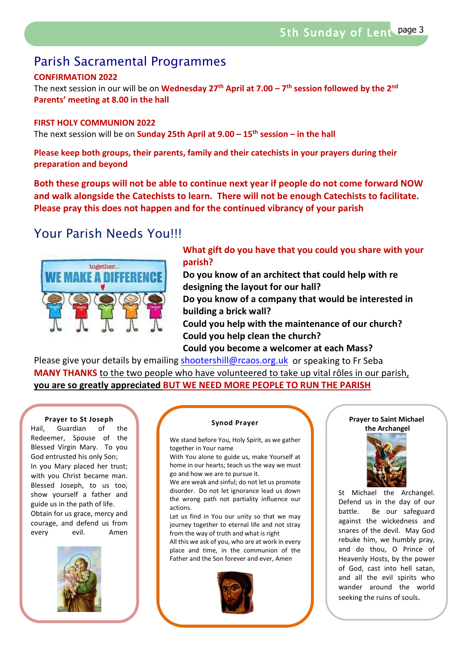# Parish Sacramental Programmes

### **CONFIRMATION 2022**

The next session in our will be on **Wednesday 27th April at 7.00 – 7th session followed by the 2nd Parents' meeting at 8.00 in the hall**

### **FIRST HOLY COMMUNION 2022**

The next session will be on **Sunday 25th April at 9.00 – 15th session – in the hall**

**Please keep both groups, their parents, family and their catechists in your prayers during their preparation and beyond**

**Both these groups will not be able to continue next year if people do not come forward NOW and walk alongside the Catechists to learn. There will not be enough Catechists to facilitate. Please pray this does not happen and for the continued vibrancy of your parish** 

# Your Parish Needs You!!!



**What gift do you have that you could you share with your parish?** 

**Do you know of an architect that could help with re designing the layout for our hall?**

**Do you know of a company that would be interested in building a brick wall?** 

**Could you help with the maintenance of our church? Could you help clean the church?**

**Could you become a welcomer at each Mass?**

Please give your details by emailing [shootershill@rcaos.org.uk](mailto:shootershill@rcaos.org.uk) or speaking to Fr Seba **MANY THANKS** to the two people who have volunteered to take up vital rôles in our parish, **you are so greatly appreciated BUT WE NEED MORE PEOPLE TO RUN THE PARISH**

#### **Prayer to St Joseph**

Hail, Guardian of the Redeemer, Spouse of the Blessed Virgin Mary. To you God entrusted his only Son; In you Mary placed her trust; with you Christ became man. Blessed Joseph, to us too, show yourself a father and guide us in the path of life. Obtain for us grace, mercy and courage, and defend us from every evil. Amen



#### **Synod Prayer**

We stand before You, Holy Spirit, as we gather together in Your name

With You alone to guide us, make Yourself at home in our hearts; teach us the way we must go and how we are to pursue it.

We are weak and sinful; do not let us promote disorder. Do not let ignorance lead us down the wrong path not partiality influence our actions.

Let us find in You our unity so that we may journey together to eternal life and not stray from the way of truth and what is right

All this we ask of you, who are at work in every place and time, in the communion of the Father and the Son forever and ever, Amen



#### **Prayer to Saint Michael the Archangel**



St Michael the Archangel. Defend us in the day of our battle. Be our safeguard against the wickedness and snares of the devil. May God rebuke him, we humbly pray, and do thou, O Prince of Heavenly Hosts, by the power of God, cast into hell satan, and all the evil spirits who wander around the world seeking the ruins of souls.